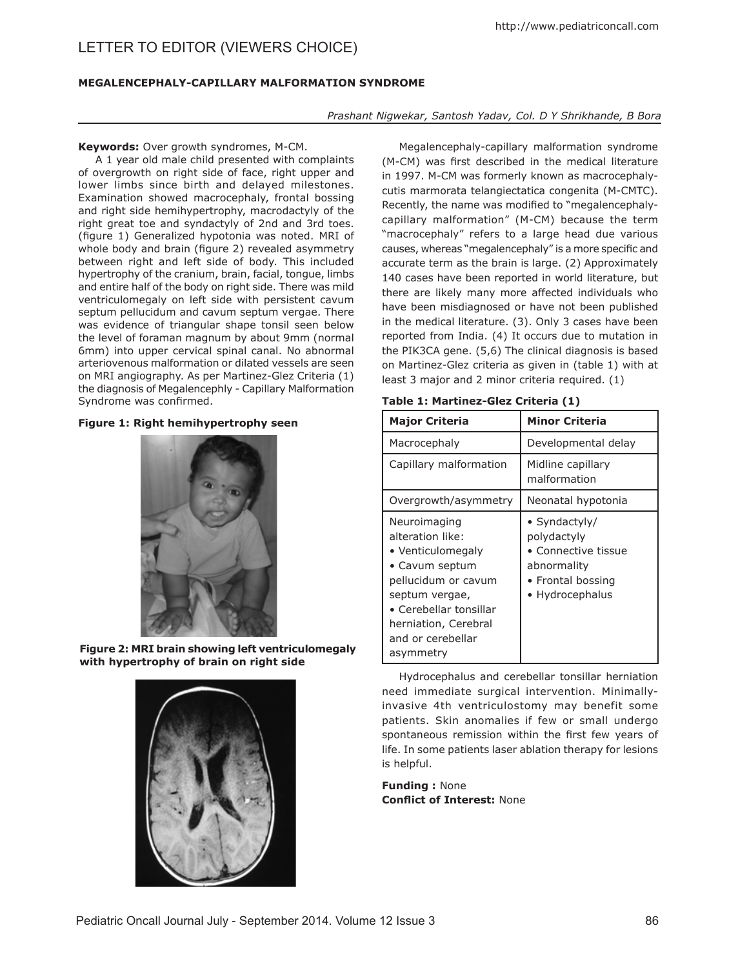# LETTER TO EDITOR (VIEWERS CHOICE)

## **Megalencephaly-capillary malformation syndrome**

## *Prashant Nigwekar, Santosh Yadav, Col. D Y Shrikhande, B Bora*

#### **Keywords:** Over growth syndromes, M-CM.

A 1 year old male child presented with complaints of overgrowth on right side of face, right upper and lower limbs since birth and delayed milestones. Examination showed macrocephaly, frontal bossing and right side hemihypertrophy, macrodactyly of the right great toe and syndactyly of 2nd and 3rd toes. (figure 1) Generalized hypotonia was noted. MRI of whole body and brain (figure 2) revealed asymmetry between right and left side of body. This included hypertrophy of the cranium, brain, facial, tongue, limbs and entire half of the body on right side. There was mild ventriculomegaly on left side with persistent cavum septum pellucidum and cavum septum vergae. There was evidence of triangular shape tonsil seen below the level of foraman magnum by about 9mm (normal 6mm) into upper cervical spinal canal. No abnormal arteriovenous malformation or dilated vessels are seen on MRI angiography. As per Martinez-Glez Criteria (1) the diagnosis of Megalencephly - Capillary Malformation Syndrome was confirmed.

## **Figure 1: Right hemihypertrophy seen**



**Figure 2: MRI brain showing left ventriculomegaly with hypertrophy of brain on right side**



Megalencephaly-capillary malformation syndrome (M-CM) was first described in the medical literature in 1997. M-CM was formerly known as macrocephalycutis marmorata telangiectatica congenita (M-CMTC). Recently, the name was modified to "megalencephalycapillary malformation" (M-CM) because the term "macrocephaly" refers to a large head due various causes, whereas "megalencephaly" is a more specific and accurate term as the brain is large. (2) Approximately 140 cases have been reported in world literature, but there are likely many more affected individuals who have been misdiagnosed or have not been published in the medical literature. (3). Only 3 cases have been reported from India. (4) It occurs due to mutation in the PIK3CA gene. (5,6) The clinical diagnosis is based on Martinez-Glez criteria as given in (table 1) with at least 3 major and 2 minor criteria required. (1)

| Table 1: Martinez-Glez Criteria (1) |
|-------------------------------------|
|-------------------------------------|

| <b>Major Criteria</b>                                                                                                                                                                                | <b>Minor Criteria</b>                                                                                      |
|------------------------------------------------------------------------------------------------------------------------------------------------------------------------------------------------------|------------------------------------------------------------------------------------------------------------|
| Macrocephaly                                                                                                                                                                                         | Developmental delay                                                                                        |
| Capillary malformation                                                                                                                                                                               | Midline capillary<br>malformation                                                                          |
| Overgrowth/asymmetry                                                                                                                                                                                 | Neonatal hypotonia                                                                                         |
| Neuroimaging<br>alteration like:<br>• Venticulomegaly<br>• Cavum septum<br>pellucidum or cavum<br>septum vergae,<br>• Cerebellar tonsillar<br>herniation, Cerebral<br>and or cerebellar<br>asymmetry | • Syndactyly/<br>polydactyly<br>• Connective tissue<br>abnormality<br>• Frontal bossing<br>• Hydrocephalus |

Hydrocephalus and cerebellar tonsillar herniation need immediate surgical intervention. Minimallyinvasive 4th ventriculostomy may benefit some patients. Skin anomalies if few or small undergo spontaneous remission within the first few years of life. In some patients laser ablation therapy for lesions is helpful.

**Funding :** None **Conflict of Interest:** None